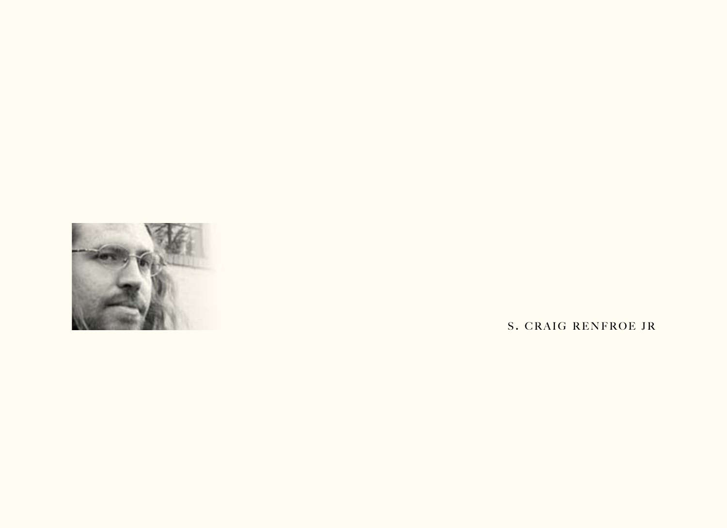

S. CRAIG RENFROE JR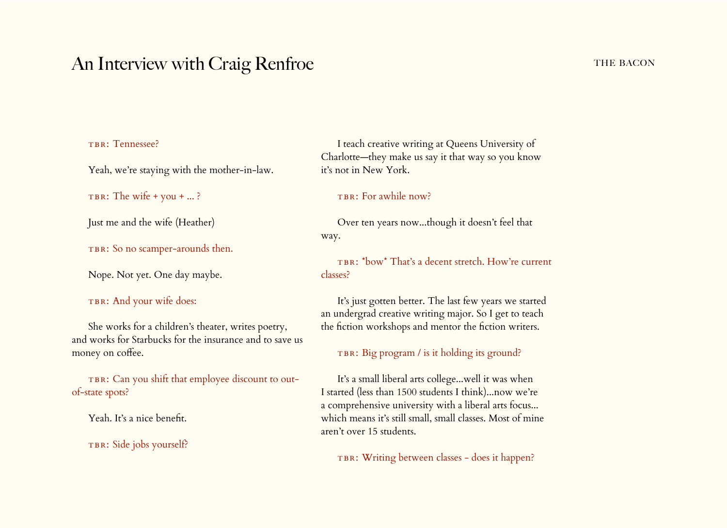# An Interview with Craig Renfroe THE BACON

# TBR: Tennessee?

Yeah, we're staying with the mother-in-law.

TBR: The wife  $+$  you  $+ ... ?$ 

Just me and the wife (Heather)

TBR: So no scamper-arounds then.

Nope. Not yet. One day maybe.

# TBR: And your wife does:

She works for a children's theater, writes poetry, and works for Starbucks for the insurance and to save us money on coffee.

TBR: Can you shift that employee discount to outof-state spots?

Yeah. It's a nice benefit.

TBR: Side jobs yourself?

I teach creative writing at Queens University of Charlotte—they make us say it that way so you know it's not in New York.

# TBR: For awhile now?

Over ten years now...though it doesn't feel that way.

TBR: \*bow\* That's a decent stretch. How're current classes?

It's just gotten better. The last few years we started an undergrad creative writing major. So I get to teach the fiction workshops and mentor the fiction writers.

## TBR: Big program / is it holding its ground?

It's a small liberal arts college...well it was when I started (less than 1500 students I think)...now we're a comprehensive university with a liberal arts focus... which means it's still small, small classes. Most of mine aren't over 15 students.

TBR: Writing between classes - does it happen?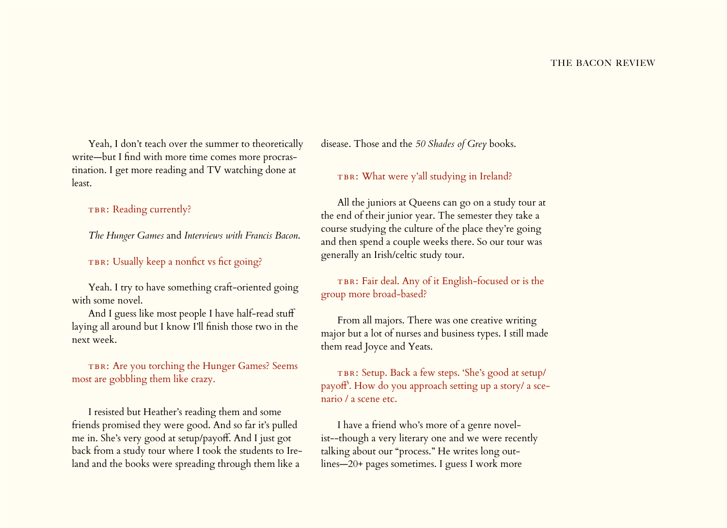Yeah, I don't teach over the summer to theoretically write—but I find with more time comes more procrastination. I get more reading and TV watching done at least.

TBR: Reading currently?

*The Hunger Games* and *Interviews with Francis Bacon*.

TBR: Usually keep a nonfict vs fict going?

Yeah. I try to have something craft-oriented going with some novel.

And I guess like most people I have half-read stuff laying all around but I know I'll finish those two in the next week.

TBR: Are you torching the Hunger Games? Seems most are gobbling them like crazy.

I resisted but Heather's reading them and some friends promised they were good. And so far it's pulled me in. She's very good at setup/payoff. And I just got back from a study tour where I took the students to Ireland and the books were spreading through them like a

disease. Those and the *50 Shades of Grey* books.

TBR: What were y'all studying in Ireland?

All the juniors at Queens can go on a study tour at the end of their junior year. The semester they take a course studying the culture of the place they're going and then spend a couple weeks there. So our tour was generally an Irish/celtic study tour.

TBR: Fair deal. Any of it English-focused or is the group more broad-based?

From all majors. There was one creative writing major but a lot of nurses and business types. I still made them read Joyce and Yeats.

TBR: Setup. Back a few steps. 'She's good at setup/ payoff'. How do you approach setting up a story/ a scenario / a scene etc.

I have a friend who's more of a genre novelist--though a very literary one and we were recently talking about our "process." He writes long outlines—20+ pages sometimes. I guess I work more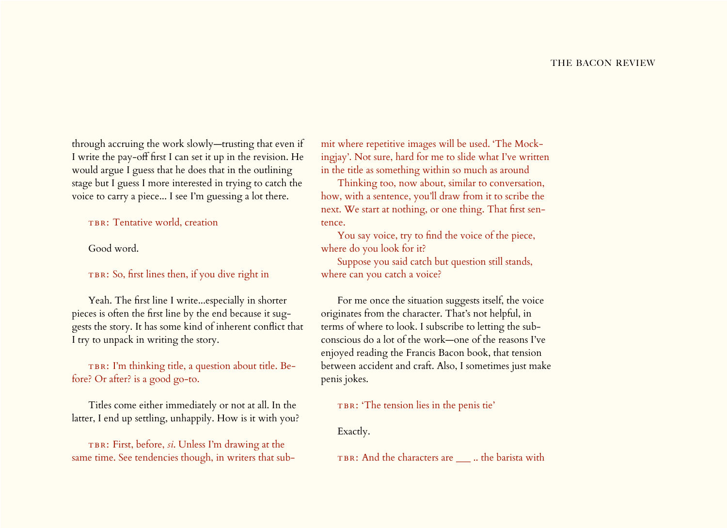through accruing the work slowly—trusting that even if I write the pay-off first I can set it up in the revision. He would argue I guess that he does that in the outlining stage but I guess I more interested in trying to catch the voice to carry a piece... I see I'm guessing a lot there.

TBR: Tentative world, creation

Good word.

TBR: So, first lines then, if you dive right in

Yeah. The first line I write...especially in shorter pieces is often the first line by the end because it suggests the story. It has some kind of inherent conflict that I try to unpack in writing the story.

TBR: I'm thinking title, a question about title. Before? Or after? is a good go-to.

Titles come either immediately or not at all. In the latter, I end up settling, unhappily. How is it with you?

TBR: First, before, *si*. Unless I'm drawing at the same time. See tendencies though, in writers that submit where repetitive images will be used. 'The Mockingjay'. Not sure, hard for me to slide what I've written in the title as something within so much as around

Thinking too, now about, similar to conversation, how, with a sentence, you'll draw from it to scribe the next. We start at nothing, or one thing. That first sentence.

You say voice, try to find the voice of the piece, where do you look for it?

Suppose you said catch but question still stands, where can you catch a voice?

For me once the situation suggests itself, the voice originates from the character. That's not helpful, in terms of where to look. I subscribe to letting the subconscious do a lot of the work—one of the reasons I've enjoyed reading the Francis Bacon book, that tension between accident and craft. Also, I sometimes just make penis jokes.

TBR: 'The tension lies in the penis tie'

Exactly.

TBR: And the characters are  $\_\_$ .. the barista with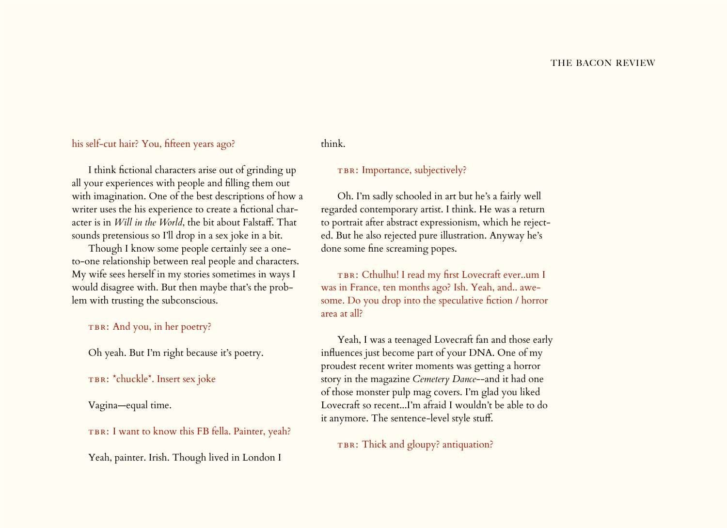# his self-cut hair? You, fifteen years ago?

# think.

I think fictional characters arise out of grinding up all your experiences with people and filling them out with imagination. One of the best descriptions of how a writer uses the his experience to create a fictional character is in *Will in the World*, the bit about Falstaff. That sounds pretensious so I'll drop in a sex joke in a bit.

Though I know some people certainly see a oneto-one relationship between real people and characters. My wife sees herself in my stories sometimes in ways I would disagree with. But then maybe that's the problem with trusting the subconscious.

# TBR: And you, in her poetry?

Oh yeah. But I'm right because it's poetry.

## TBR: \*chuckle\*. Insert sex joke

Vagina—equal time.

TBR: I want to know this FB fella. Painter, yeah?

# Yeah, painter. Irish. Though lived in London I

TBR: Importance, subjectively?

Oh. I'm sadly schooled in art but he's a fairly well regarded contemporary artist. I think. He was a return to portrait after abstract expressionism, which he rejected. But he also rejected pure illustration. Anyway he's done some fine screaming popes.

TBR: Cthulhu! I read my first Lovecraft ever..um I was in France, ten months ago? Ish. Yeah, and.. awesome. Do you drop into the speculative fiction / horror area at all?

Yeah, I was a teenaged Lovecraft fan and those early influences just become part of your DNA. One of my proudest recent writer moments was getting a horror story in the magazine *Cemetery Dance*--and it had one of those monster pulp mag covers. I'm glad you liked Lovecraft so recent...I'm afraid I wouldn't be able to do it anymore. The sentence-level style stuff.

TBR: Thick and gloupy? antiquation?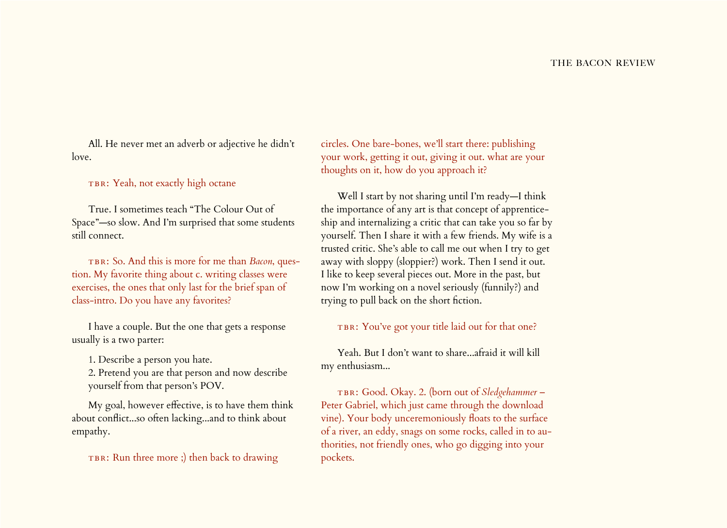All. He never met an adverb or adjective he didn't love.

TBR: Yeah, not exactly high octane

True. I sometimes teach "The Colour Out of Space"—so slow. And I'm surprised that some students still connect.

TBR: So. And this is more for me than *Bacon*, question. My favorite thing about c. writing classes were exercises, the ones that only last for the brief span of class-intro. Do you have any favorites?

I have a couple. But the one that gets a response usually is a two parter:

1. Describe a person you hate.

2. Pretend you are that person and now describe yourself from that person's POV.

My goal, however effective, is to have them think about conflict...so often lacking...and to think about empathy.

TBR: Run three more ;) then back to drawing

circles. One bare-bones, we'll start there: publishing your work, getting it out, giving it out. what are your thoughts on it, how do you approach it?

Well I start by not sharing until I'm ready—I think the importance of any art is that concept of apprenticeship and internalizing a critic that can take you so far by yourself. Then I share it with a few friends. My wife is a trusted critic. She's able to call me out when I try to get away with sloppy (sloppier?) work. Then I send it out. I like to keep several pieces out. More in the past, but now I'm working on a novel seriously (funnily?) and trying to pull back on the short fiction.

TBR: You've got your title laid out for that one?

Yeah. But I don't want to share...afraid it will kill my enthusiasm...

tbr: Good. Okay. 2. (born out of *Sledgehammer* – Peter Gabriel, which just came through the download vine). Your body unceremoniously floats to the surface of a river, an eddy, snags on some rocks, called in to authorities, not friendly ones, who go digging into your pockets.